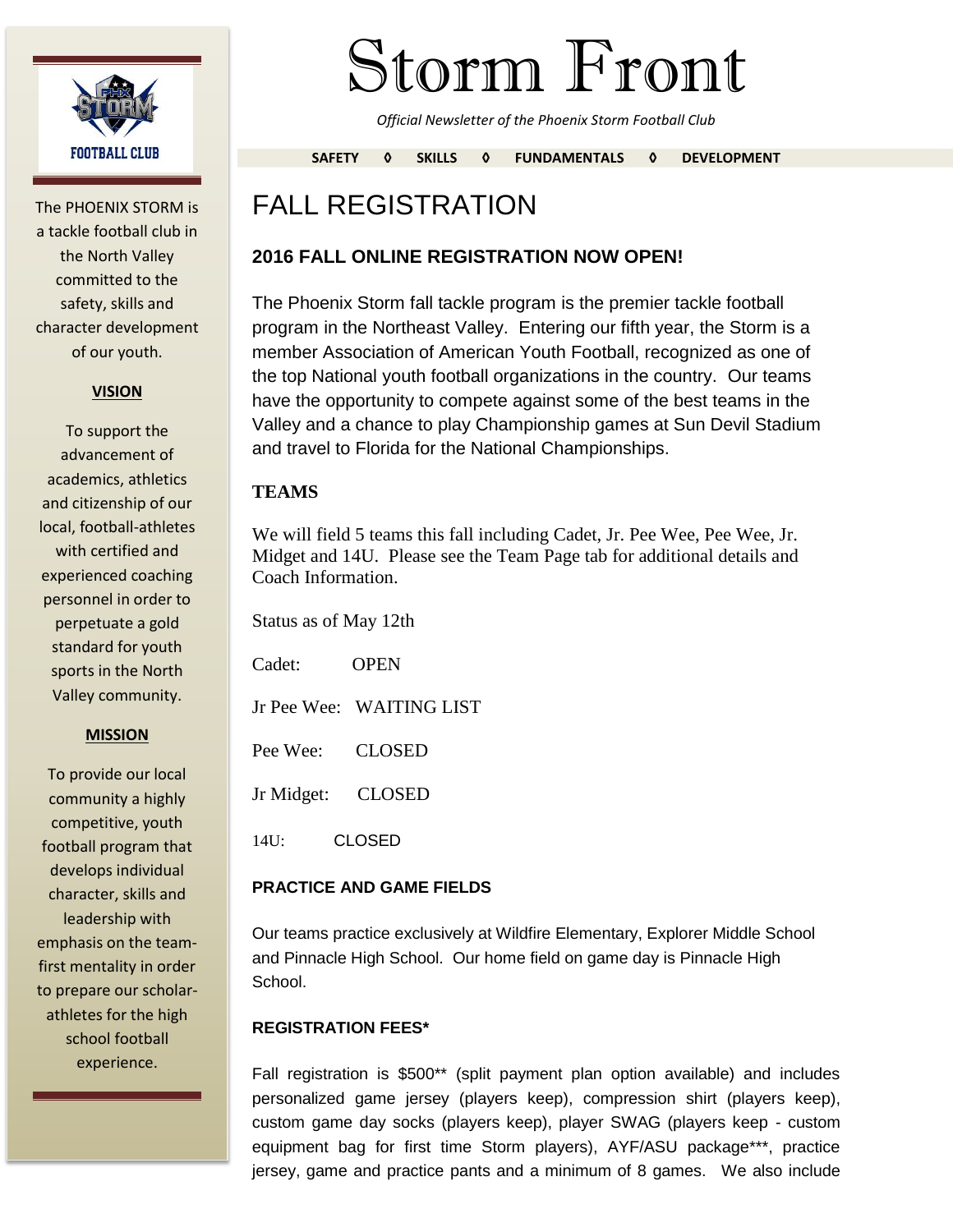

The PHOENIX STORM is a tackle football club in the North Valley committed to the safety, skills and character development of our youth.

#### **VISION**

To support the advancement of academics, athletics and citizenship of our local, football-athletes with certified and experienced coaching personnel in order to perpetuate a gold standard for youth sports in the North Valley community.

#### **MISSION**

To provide our local community a highly competitive, youth football program that develops individual character, skills and leadership with emphasis on the teamfirst mentality in order to prepare our scholarathletes for the high school football experience.

# Storm Front

*Official Newsletter of the Phoenix Storm Football Club*

**SAFETY ◊ SKILLS ◊ FUNDAMENTALS ◊ DEVELOPMENT**

# FALL REGISTRATION

#### **2016 FALL ONLINE REGISTRATION NOW OPEN!**

The Phoenix Storm fall tackle program is the premier tackle football program in the Northeast Valley. Entering our fifth year, the Storm is a member Association of American Youth Football, recognized as one of the top National youth football organizations in the country. Our teams have the opportunity to compete against some of the best teams in the Valley and a chance to play Championship games at Sun Devil Stadium and travel to Florida for the National Championships.

#### **TEAMS**

We will field 5 teams this fall including Cadet, Jr. Pee Wee, Pee Wee, Jr. Midget and 14U. Please see the Team Page tab for additional details and Coach Information.

| Status as of May 12th |                          |
|-----------------------|--------------------------|
| $C$ adet:             | OPEN                     |
|                       | Jr Pee Wee: WAITING LIST |
| Pee Wee:              | <b>CLOSED</b>            |
| Jr Midget:            | CLOSED                   |
| 14U:                  | CLOSED                   |

#### **PRACTICE AND GAME FIELDS**

Our teams practice exclusively at Wildfire Elementary, Explorer Middle School and Pinnacle High School. Our home field on game day is Pinnacle High School.

#### **REGISTRATION FEES\***

Fall registration is \$500\*\* (split payment plan option available) and includes personalized game jersey (players keep), compression shirt (players keep), custom game day socks (players keep), player SWAG (players keep - custom equipment bag for first time Storm players), AYF/ASU package\*\*\*, practice jersey, game and practice pants and a minimum of 8 games. We also include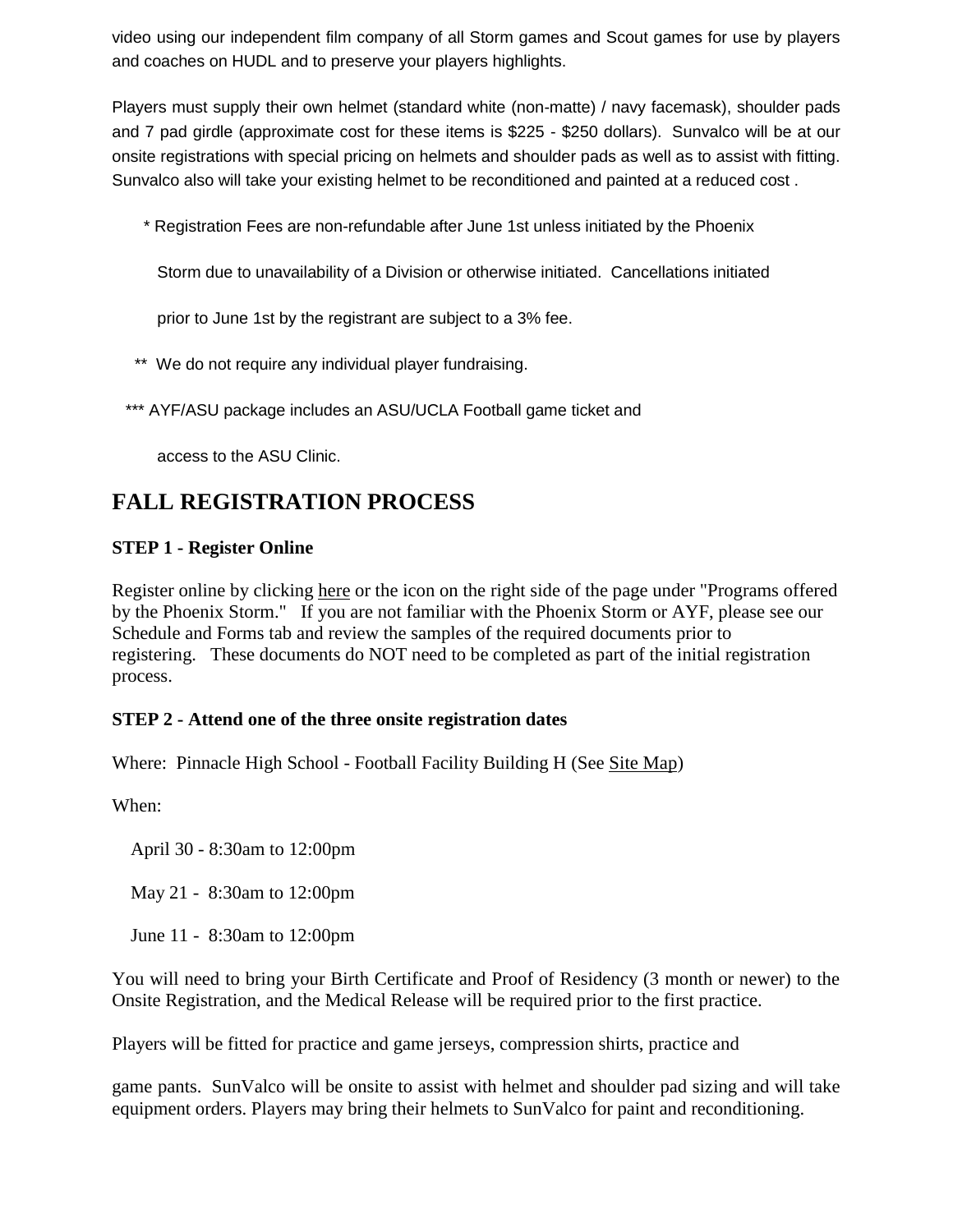video using our independent film company of all Storm games and Scout games for use by players and coaches on HUDL and to preserve your players highlights.

Players must supply their own helmet (standard white (non-matte) / navy facemask), shoulder pads and 7 pad girdle (approximate cost for these items is \$225 - \$250 dollars). Sunvalco will be at our onsite registrations with special pricing on helmets and shoulder pads as well as to assist with fitting. Sunvalco also will take your existing helmet to be reconditioned and painted at a reduced cost .

\* Registration Fees are non-refundable after June 1st unless initiated by the Phoenix

Storm due to unavailability of a Division or otherwise initiated. Cancellations initiated

prior to June 1st by the registrant are subject to a 3% fee.

- \*\* We do not require any individual player fundraising.
- \*\*\* AYF/ASU package includes an ASU/UCLA Football game ticket and

access to the ASU Clinic.

## **FALL REGISTRATION PROCESS**

#### **STEP 1 - Register Online**

Register online by clicking here or the icon on the right side of the page under "Programs offered by the Phoenix Storm." If you are not familiar with the Phoenix Storm or AYF, please see our Schedule and Forms tab and review the samples of the required documents prior to registering. These documents do NOT need to be completed as part of the initial registration process.

#### **STEP 2 - Attend one of the three onsite registration dates**

Where: Pinnacle High School - Football Facility Building H (See Site Map)

When:

April 30 - 8:30am to 12:00pm

May 21 - 8:30am to 12:00pm

June 11 - 8:30am to 12:00pm

You will need to bring your Birth Certificate and Proof of Residency (3 month or newer) to the Onsite Registration, and the Medical Release will be required prior to the first practice.

Players will be fitted for practice and game jerseys, compression shirts, practice and

game pants. SunValco will be onsite to assist with helmet and shoulder pad sizing and will take equipment orders. Players may bring their helmets to SunValco for paint and reconditioning.